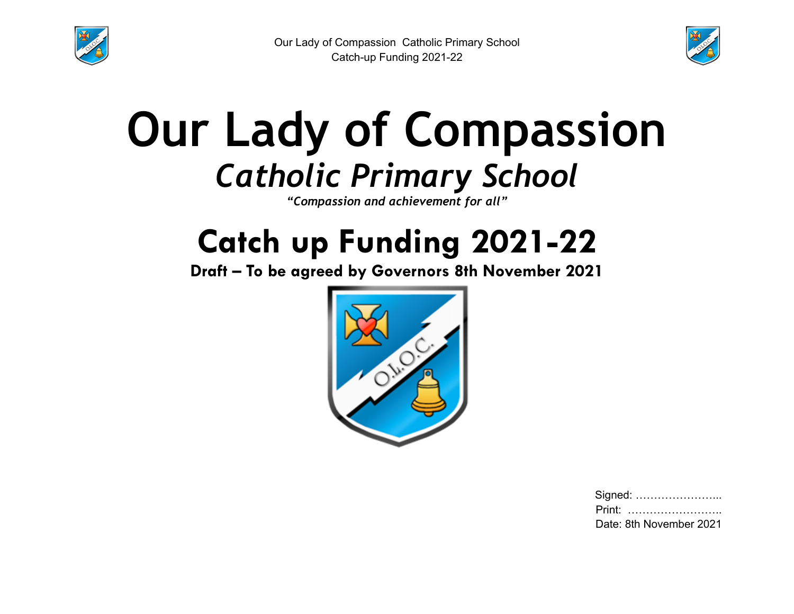



# **Our Lady of Compassion** *Catholic Primary School*

*"Compassion and achievement for all"*

## **Catch up Funding 2021-22**

**Draft – To be agreed by Governors 8th November 2021**



| Signed:                 |
|-------------------------|
| Print:                  |
| Date: 8th November 2021 |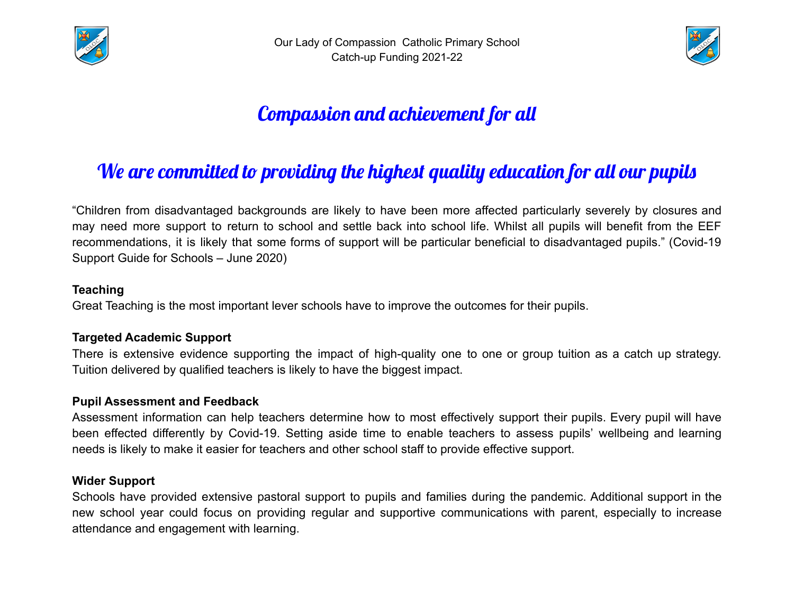



## Compassion and achievement for all

### We are committed to providing the highest quality education for all our pupils

"Children from disadvantaged backgrounds are likely to have been more affected particularly severely by closures and may need more support to return to school and settle back into school life. Whilst all pupils will benefit from the EEF recommendations, it is likely that some forms of support will be particular beneficial to disadvantaged pupils." (Covid-19 Support Guide for Schools – June 2020)

#### **Teaching**

Great Teaching is the most important lever schools have to improve the outcomes for their pupils.

#### **Targeted Academic Support**

There is extensive evidence supporting the impact of high-quality one to one or group tuition as a catch up strategy. Tuition delivered by qualified teachers is likely to have the biggest impact.

#### **Pupil Assessment and Feedback**

Assessment information can help teachers determine how to most effectively support their pupils. Every pupil will have been effected differently by Covid-19. Setting aside time to enable teachers to assess pupils' wellbeing and learning needs is likely to make it easier for teachers and other school staff to provide effective support.

#### **Wider Support**

Schools have provided extensive pastoral support to pupils and families during the pandemic. Additional support in the new school year could focus on providing regular and supportive communications with parent, especially to increase attendance and engagement with learning.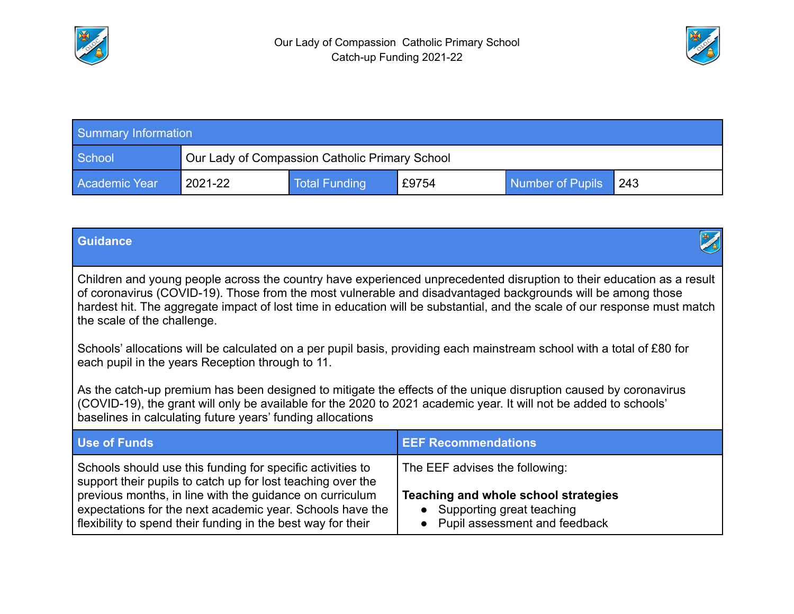



| <b>Summary Information</b> |                                                |               |       |                  |       |  |
|----------------------------|------------------------------------------------|---------------|-------|------------------|-------|--|
| School                     | Our Lady of Compassion Catholic Primary School |               |       |                  |       |  |
| <b>Academic Year</b>       | 2021-22                                        | Total Funding | £9754 | Number of Pupils | l 243 |  |

| <b>Guidance</b>                                                                                                                                                                                                                                                                                                                                                                                  |                                                                                                                                        |  |  |  |  |  |
|--------------------------------------------------------------------------------------------------------------------------------------------------------------------------------------------------------------------------------------------------------------------------------------------------------------------------------------------------------------------------------------------------|----------------------------------------------------------------------------------------------------------------------------------------|--|--|--|--|--|
| Children and young people across the country have experienced unprecedented disruption to their education as a result<br>of coronavirus (COVID-19). Those from the most vulnerable and disadvantaged backgrounds will be among those<br>hardest hit. The aggregate impact of lost time in education will be substantial, and the scale of our response must match<br>the scale of the challenge. |                                                                                                                                        |  |  |  |  |  |
| Schools' allocations will be calculated on a per pupil basis, providing each mainstream school with a total of £80 for<br>each pupil in the years Reception through to 11.                                                                                                                                                                                                                       |                                                                                                                                        |  |  |  |  |  |
| As the catch-up premium has been designed to mitigate the effects of the unique disruption caused by coronavirus<br>(COVID-19), the grant will only be available for the 2020 to 2021 academic year. It will not be added to schools'<br>baselines in calculating future years' funding allocations                                                                                              |                                                                                                                                        |  |  |  |  |  |
| <b>Use of Funds</b>                                                                                                                                                                                                                                                                                                                                                                              | <b>EEF Recommendations</b>                                                                                                             |  |  |  |  |  |
| Schools should use this funding for specific activities to<br>support their pupils to catch up for lost teaching over the<br>previous months, in line with the guidance on curriculum<br>expectations for the next academic year. Schools have the<br>flexibility to spend their funding in the best way for their                                                                               | The EEF advises the following:<br>Teaching and whole school strategies<br>• Supporting great teaching<br>Pupil assessment and feedback |  |  |  |  |  |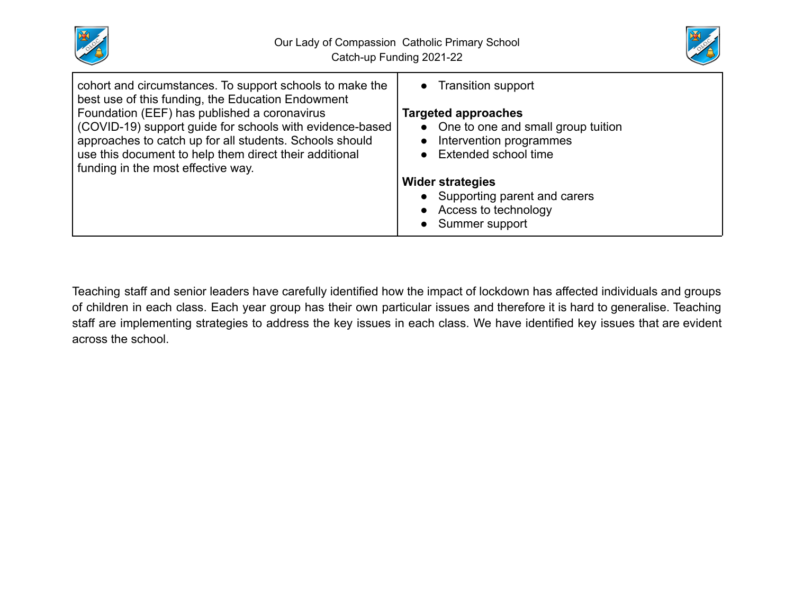



| cohort and circumstances. To support schools to make the<br>best use of this funding, the Education Endowment | • Transition support                 |
|---------------------------------------------------------------------------------------------------------------|--------------------------------------|
| Foundation (EEF) has published a coronavirus                                                                  | <b>Targeted approaches</b>           |
| (COVID-19) support guide for schools with evidence-based                                                      | • One to one and small group tuition |
| approaches to catch up for all students. Schools should                                                       | Intervention programmes              |
| use this document to help them direct their additional                                                        | • Extended school time               |
| funding in the most effective way.                                                                            |                                      |
|                                                                                                               | <b>Wider strategies</b>              |
|                                                                                                               | Supporting parent and carers         |
|                                                                                                               | • Access to technology               |
|                                                                                                               | Summer support                       |

Teaching staff and senior leaders have carefully identified how the impact of lockdown has affected individuals and groups of children in each class. Each year group has their own particular issues and therefore it is hard to generalise. Teaching staff are implementing strategies to address the key issues in each class. We have identified key issues that are evident across the school.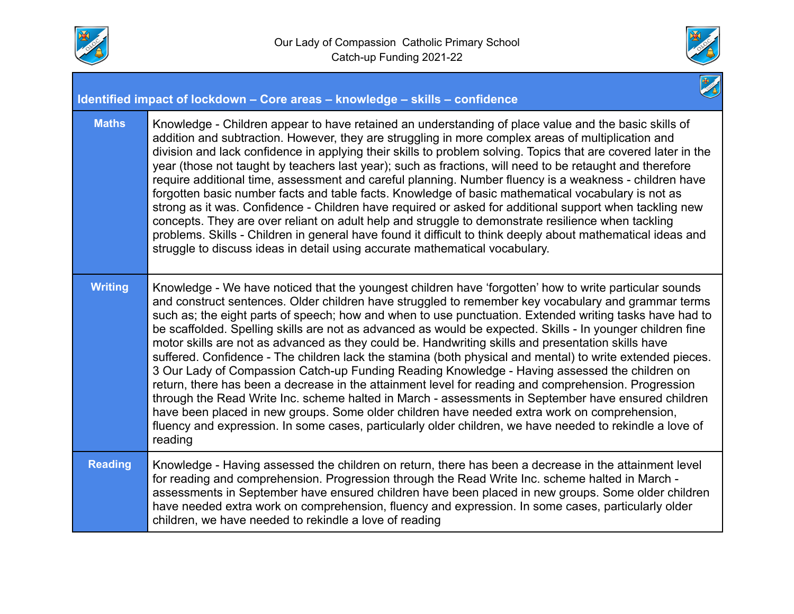



|                | Identified impact of lockdown - Core areas - knowledge - skills - confidence                                                                                                                                                                                                                                                                                                                                                                                                                                                                                                                                                                                                                                                                                                                                                                                                                                                                                                                                                                                                                                                                                                                     |
|----------------|--------------------------------------------------------------------------------------------------------------------------------------------------------------------------------------------------------------------------------------------------------------------------------------------------------------------------------------------------------------------------------------------------------------------------------------------------------------------------------------------------------------------------------------------------------------------------------------------------------------------------------------------------------------------------------------------------------------------------------------------------------------------------------------------------------------------------------------------------------------------------------------------------------------------------------------------------------------------------------------------------------------------------------------------------------------------------------------------------------------------------------------------------------------------------------------------------|
| <b>Maths</b>   | Knowledge - Children appear to have retained an understanding of place value and the basic skills of<br>addition and subtraction. However, they are struggling in more complex areas of multiplication and<br>division and lack confidence in applying their skills to problem solving. Topics that are covered later in the<br>year (those not taught by teachers last year); such as fractions, will need to be retaught and therefore<br>require additional time, assessment and careful planning. Number fluency is a weakness - children have<br>forgotten basic number facts and table facts. Knowledge of basic mathematical vocabulary is not as<br>strong as it was. Confidence - Children have required or asked for additional support when tackling new<br>concepts. They are over reliant on adult help and struggle to demonstrate resilience when tackling<br>problems. Skills - Children in general have found it difficult to think deeply about mathematical ideas and<br>struggle to discuss ideas in detail using accurate mathematical vocabulary.                                                                                                                          |
| <b>Writing</b> | Knowledge - We have noticed that the youngest children have 'forgotten' how to write particular sounds<br>and construct sentences. Older children have struggled to remember key vocabulary and grammar terms<br>such as; the eight parts of speech; how and when to use punctuation. Extended writing tasks have had to<br>be scaffolded. Spelling skills are not as advanced as would be expected. Skills - In younger children fine<br>motor skills are not as advanced as they could be. Handwriting skills and presentation skills have<br>suffered. Confidence - The children lack the stamina (both physical and mental) to write extended pieces.<br>3 Our Lady of Compassion Catch-up Funding Reading Knowledge - Having assessed the children on<br>return, there has been a decrease in the attainment level for reading and comprehension. Progression<br>through the Read Write Inc. scheme halted in March - assessments in September have ensured children<br>have been placed in new groups. Some older children have needed extra work on comprehension,<br>fluency and expression. In some cases, particularly older children, we have needed to rekindle a love of<br>reading |
| <b>Reading</b> | Knowledge - Having assessed the children on return, there has been a decrease in the attainment level<br>for reading and comprehension. Progression through the Read Write Inc. scheme halted in March -<br>assessments in September have ensured children have been placed in new groups. Some older children<br>have needed extra work on comprehension, fluency and expression. In some cases, particularly older<br>children, we have needed to rekindle a love of reading                                                                                                                                                                                                                                                                                                                                                                                                                                                                                                                                                                                                                                                                                                                   |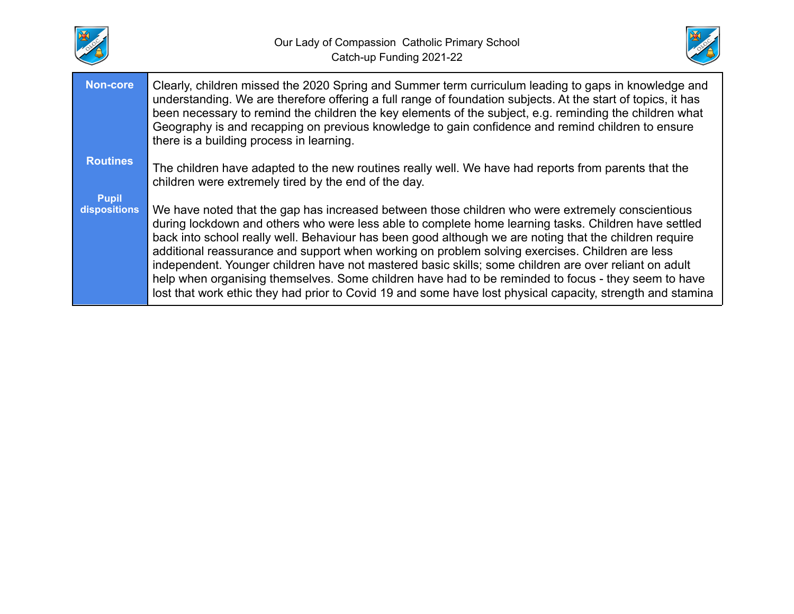



| <b>Non-core</b>              | Clearly, children missed the 2020 Spring and Summer term curriculum leading to gaps in knowledge and<br>understanding. We are therefore offering a full range of foundation subjects. At the start of topics, it has<br>been necessary to remind the children the key elements of the subject, e.g. reminding the children what<br>Geography is and recapping on previous knowledge to gain confidence and remind children to ensure<br>there is a building process in learning.                                                                                                                                                                                                                                                                    |
|------------------------------|-----------------------------------------------------------------------------------------------------------------------------------------------------------------------------------------------------------------------------------------------------------------------------------------------------------------------------------------------------------------------------------------------------------------------------------------------------------------------------------------------------------------------------------------------------------------------------------------------------------------------------------------------------------------------------------------------------------------------------------------------------|
| <b>Routines</b>              | The children have adapted to the new routines really well. We have had reports from parents that the<br>children were extremely tired by the end of the day.                                                                                                                                                                                                                                                                                                                                                                                                                                                                                                                                                                                        |
| <b>Pupil</b><br>dispositions | We have noted that the gap has increased between those children who were extremely conscientious<br>during lockdown and others who were less able to complete home learning tasks. Children have settled<br>back into school really well. Behaviour has been good although we are noting that the children require<br>additional reassurance and support when working on problem solving exercises. Children are less<br>independent. Younger children have not mastered basic skills; some children are over reliant on adult<br>help when organising themselves. Some children have had to be reminded to focus - they seem to have<br>lost that work ethic they had prior to Covid 19 and some have lost physical capacity, strength and stamina |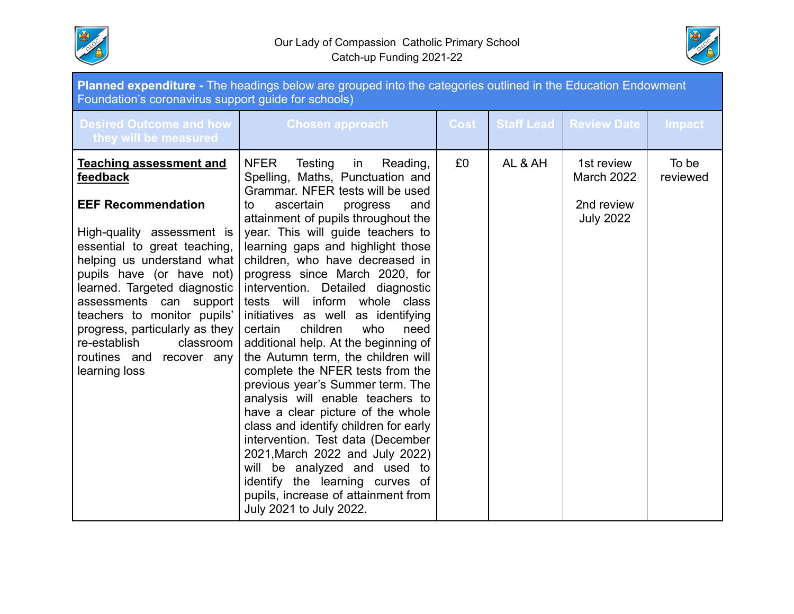



| Planned expenditure - The headings below are grouped into the categories outlined in the Education Endowment<br>Foundation's coronavirus support guide for schools)                                                                                                                                                                                                                                       |                                                                                                                                                                                                                                                                                                                                                                                                                                                                                                                                                                                                                                                                                                                                                                                                                                                                                                                                                                                     |             |                   |                                                                   |                   |  |  |
|-----------------------------------------------------------------------------------------------------------------------------------------------------------------------------------------------------------------------------------------------------------------------------------------------------------------------------------------------------------------------------------------------------------|-------------------------------------------------------------------------------------------------------------------------------------------------------------------------------------------------------------------------------------------------------------------------------------------------------------------------------------------------------------------------------------------------------------------------------------------------------------------------------------------------------------------------------------------------------------------------------------------------------------------------------------------------------------------------------------------------------------------------------------------------------------------------------------------------------------------------------------------------------------------------------------------------------------------------------------------------------------------------------------|-------------|-------------------|-------------------------------------------------------------------|-------------------|--|--|
| <b>Desired Outcome and how</b><br>they will be measured                                                                                                                                                                                                                                                                                                                                                   | <b>Chosen approach</b>                                                                                                                                                                                                                                                                                                                                                                                                                                                                                                                                                                                                                                                                                                                                                                                                                                                                                                                                                              | <b>Cost</b> | <b>Staff Lead</b> | <b>Review Date</b>                                                | <b>Impact</b>     |  |  |
| <b>Teaching assessment and</b><br>feedback<br><b>EEF Recommendation</b><br>High-quality assessment is<br>essential to great teaching,<br>helping us understand what<br>pupils have (or have not)<br>learned. Targeted diagnostic<br>assessments can support<br>teachers to monitor pupils'<br>progress, particularly as they<br>re-establish<br>classroom<br>routines and<br>recover any<br>learning loss | <b>NFER</b><br>Testing<br>Reading,<br>in<br>Spelling, Maths, Punctuation and<br>Grammar. NFER tests will be used<br>ascertain<br>progress<br>and<br>to<br>attainment of pupils throughout the<br>year. This will guide teachers to<br>learning gaps and highlight those<br>children, who have decreased in<br>progress since March 2020, for<br>intervention. Detailed diagnostic<br>tests will inform whole class<br>initiatives as well as identifying<br>certain<br>children<br>who<br>need<br>additional help. At the beginning of<br>the Autumn term, the children will<br>complete the NFER tests from the<br>previous year's Summer term. The<br>analysis will enable teachers to<br>have a clear picture of the whole<br>class and identify children for early<br>intervention. Test data (December<br>2021, March 2022 and July 2022)<br>will be analyzed and used to<br>identify the learning curves of<br>pupils, increase of attainment from<br>July 2021 to July 2022. | £0          | AL & AH           | 1st review<br><b>March 2022</b><br>2nd review<br><b>July 2022</b> | To be<br>reviewed |  |  |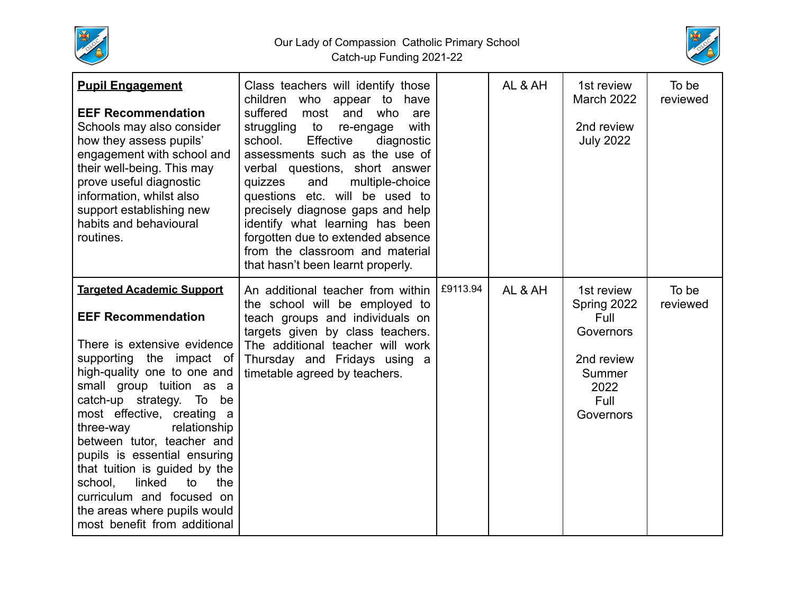

Our Lady of Compassion Catholic Primary School Catch-up Funding 2021-22



| <b>Pupil Engagement</b><br><b>EEF Recommendation</b><br>Schools may also consider<br>how they assess pupils'<br>engagement with school and<br>their well-being. This may<br>prove useful diagnostic<br>information, whilst also<br>support establishing new<br>habits and behavioural<br>routines.                                                                                                                                                                                                       | Class teachers will identify those<br>children<br>who appear to have<br>suffered<br>and<br>who<br>most<br>are<br>with<br>struggling to<br>re-engage<br>Effective<br>school.<br>diagnostic<br>assessments such as the use of<br>verbal questions, short answer<br>quizzes<br>and<br>multiple-choice<br>questions etc. will be used to<br>precisely diagnose gaps and help<br>identify what learning has been<br>forgotten due to extended absence<br>from the classroom and material<br>that hasn't been learnt properly. |          | AL & AH | 1st review<br><b>March 2022</b><br>2nd review<br><b>July 2022</b>                                   | To be<br>reviewed |
|----------------------------------------------------------------------------------------------------------------------------------------------------------------------------------------------------------------------------------------------------------------------------------------------------------------------------------------------------------------------------------------------------------------------------------------------------------------------------------------------------------|--------------------------------------------------------------------------------------------------------------------------------------------------------------------------------------------------------------------------------------------------------------------------------------------------------------------------------------------------------------------------------------------------------------------------------------------------------------------------------------------------------------------------|----------|---------|-----------------------------------------------------------------------------------------------------|-------------------|
| <b>Targeted Academic Support</b><br><b>EEF Recommendation</b><br>There is extensive evidence<br>supporting the impact of<br>high-quality one to one and<br>small group tuition as a<br>catch-up strategy. To be<br>most effective, creating a<br>relationship<br>three-way<br>between tutor, teacher and<br>pupils is essential ensuring<br>that tuition is guided by the<br>linked<br>school.<br>to<br>the<br>curriculum and focused on<br>the areas where pupils would<br>most benefit from additional | An additional teacher from within<br>the school will be employed to<br>teach groups and individuals on<br>targets given by class teachers.<br>The additional teacher will work<br>Thursday and Fridays using a<br>timetable agreed by teachers.                                                                                                                                                                                                                                                                          | £9113.94 | AL & AH | 1st review<br>Spring 2022<br>Full<br>Governors<br>2nd review<br>Summer<br>2022<br>Full<br>Governors | To be<br>reviewed |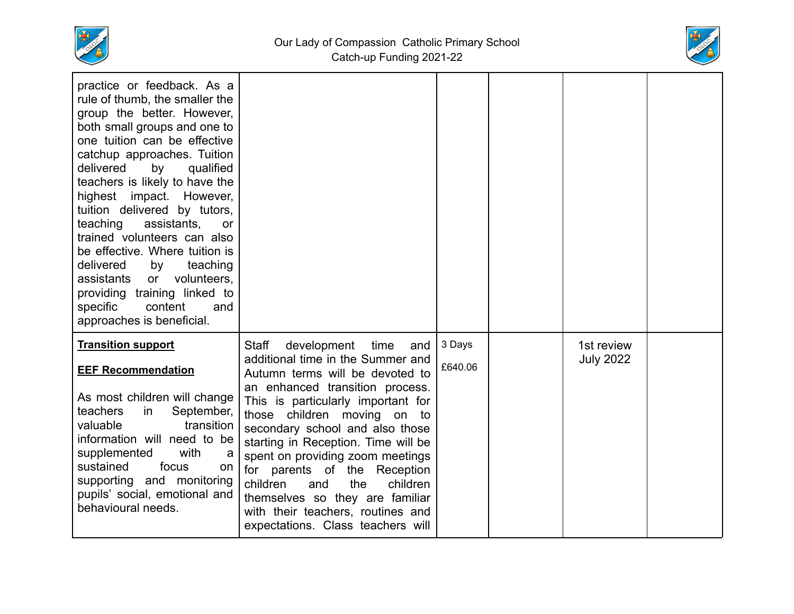



| practice or feedback. As a<br>rule of thumb, the smaller the<br>group the better. However,<br>both small groups and one to<br>one tuition can be effective<br>catchup approaches. Tuition<br>delivered<br>by<br>qualified<br>teachers is likely to have the<br>highest<br>impact.<br>However,<br>tuition delivered by tutors,<br>teaching<br>assistants,<br>or<br>trained volunteers can also<br>be effective. Where tuition is<br>delivered<br>by<br>teaching<br>assistants<br>volunteers.<br>or<br>providing training linked to<br>specific<br>content<br>and<br>approaches is beneficial. |                                                                                                                                                                                                                                                                                                                                                                                                                                                                                                                                      |                   |                                |  |
|----------------------------------------------------------------------------------------------------------------------------------------------------------------------------------------------------------------------------------------------------------------------------------------------------------------------------------------------------------------------------------------------------------------------------------------------------------------------------------------------------------------------------------------------------------------------------------------------|--------------------------------------------------------------------------------------------------------------------------------------------------------------------------------------------------------------------------------------------------------------------------------------------------------------------------------------------------------------------------------------------------------------------------------------------------------------------------------------------------------------------------------------|-------------------|--------------------------------|--|
| <b>Transition support</b><br><b>EEF Recommendation</b><br>As most children will change<br>teachers<br>September,<br>in<br>transition<br>valuable<br>information will need to be<br>supplemented<br>with<br>a<br>sustained<br>focus<br>on.<br>supporting and monitoring<br>pupils' social, emotional and<br>behavioural needs.                                                                                                                                                                                                                                                                | development<br><b>Staff</b><br>time<br>and<br>additional time in the Summer and<br>Autumn terms will be devoted to<br>an enhanced transition process.<br>This is particularly important for<br>those children moving<br>on<br>to<br>secondary school and also those<br>starting in Reception. Time will be<br>spent on providing zoom meetings<br>for parents of the<br>Reception<br>children<br>the<br>children<br>and<br>themselves so they are familiar<br>with their teachers, routines and<br>expectations. Class teachers will | 3 Days<br>£640.06 | 1st review<br><b>July 2022</b> |  |